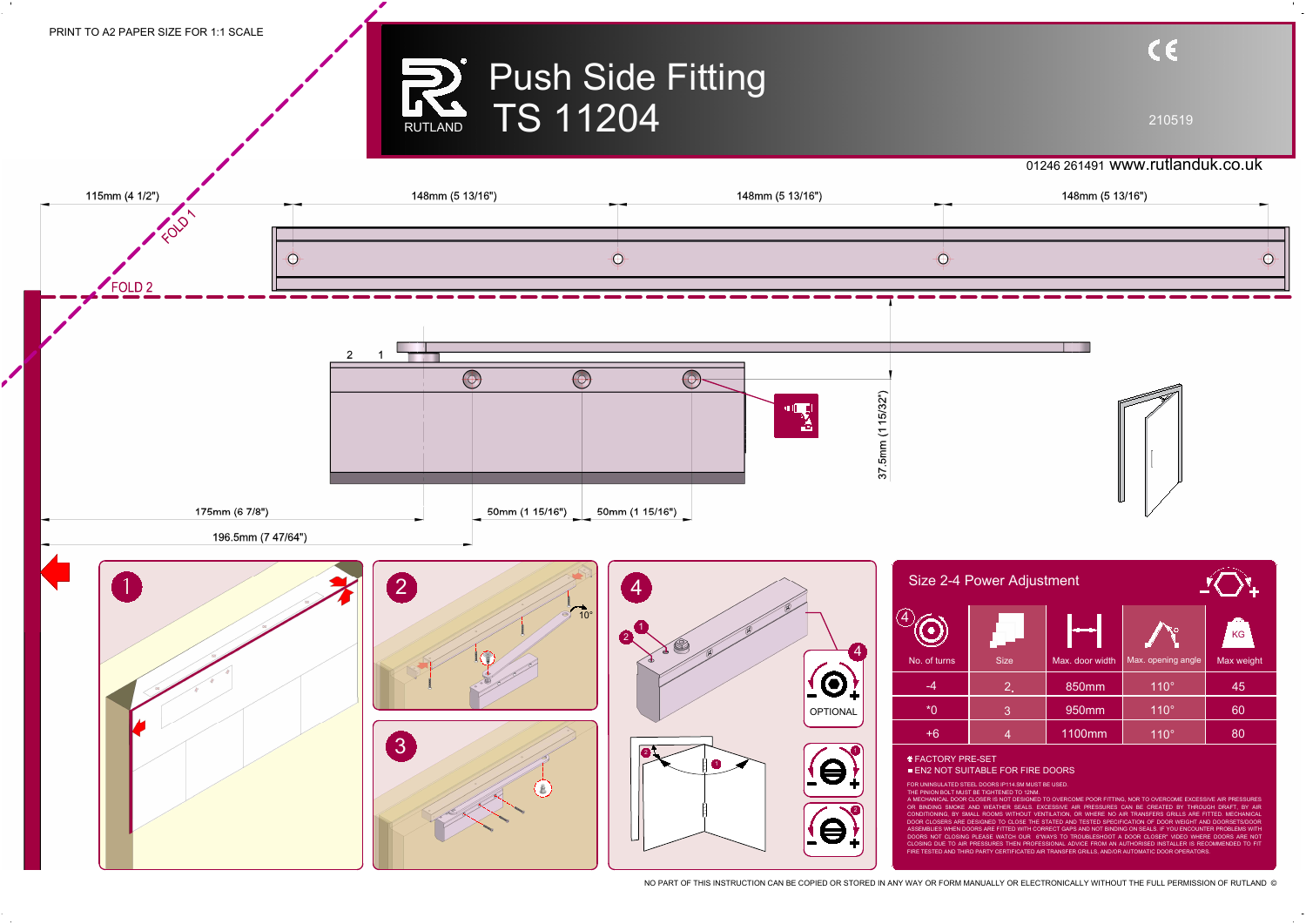## Push Side Fitting RUTLAND TS 11204

210519

NO PART OF THIS INSTRUCTION CAN BE COPIED OR STORED IN ANY WAY OR FORM MANUALLY OR ELECTRONICALLY WITHOUT THE FULL PERMISSION OF RUTLAND ©



## 01246 261491 www.rutlanduk.co.uk

| Size 2-4 Power Adjustment |               |                 |                    |            |
|---------------------------|---------------|-----------------|--------------------|------------|
|                           |               |                 |                    | <b>KG</b>  |
| No. of turns              | <b>Size</b>   | Max. door width | Max. opening angle | Max weight |
| -4                        | $2_{\bullet}$ | 850mm           | $110^\circ$        | 45         |
| $*$ $\cap$                | $\mathbf{3}$  | 950mm           | $110^\circ$        | 60         |
| $+6$                      | 4             | 1100mm          | $110^\circ$        | 80         |
|                           |               |                 |                    |            |